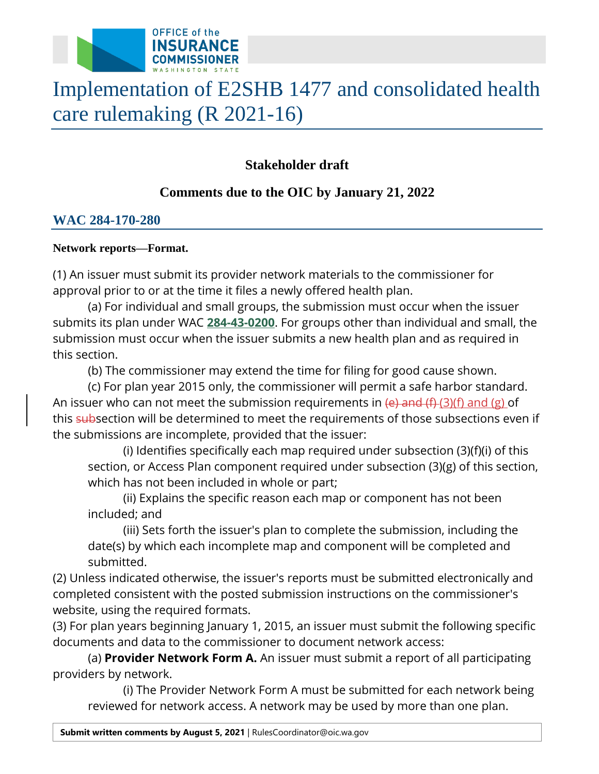

# Implementation of E2SHB 1477 and consolidated health care rulemaking (R 2021-16)

# **Stakeholder draft**

# **Comments due to the OIC by January 21, 2022**

## **WAC 284-170-280**

## **Network reports—Format.**

(1) An issuer must submit its provider network materials to the commissioner for approval prior to or at the time it files a newly offered health plan.

(a) For individual and small groups, the submission must occur when the issuer submits its plan under WAC **[284-43-0200](https://apps.leg.wa.gov/wac/default.aspx?cite=284-43-0200)**. For groups other than individual and small, the submission must occur when the issuer submits a new health plan and as required in this section.

(b) The commissioner may extend the time for filing for good cause shown.

(c) For plan year 2015 only, the commissioner will permit a safe harbor standard. An issuer who can not meet the submission requirements in  $(e)$  and  $(f)$  (3)(f) and (g) of this subsection will be determined to meet the requirements of those subsections even if the submissions are incomplete, provided that the issuer:

(i) Identifies specifically each map required under subsection (3)(f)(i) of this section, or Access Plan component required under subsection (3)(g) of this section, which has not been included in whole or part;

(ii) Explains the specific reason each map or component has not been included; and

(iii) Sets forth the issuer's plan to complete the submission, including the date(s) by which each incomplete map and component will be completed and submitted.

(2) Unless indicated otherwise, the issuer's reports must be submitted electronically and completed consistent with the posted submission instructions on the commissioner's website, using the required formats.

(3) For plan years beginning January 1, 2015, an issuer must submit the following specific documents and data to the commissioner to document network access:

(a) **Provider Network Form A.** An issuer must submit a report of all participating providers by network.

(i) The Provider Network Form A must be submitted for each network being reviewed for network access. A network may be used by more than one plan.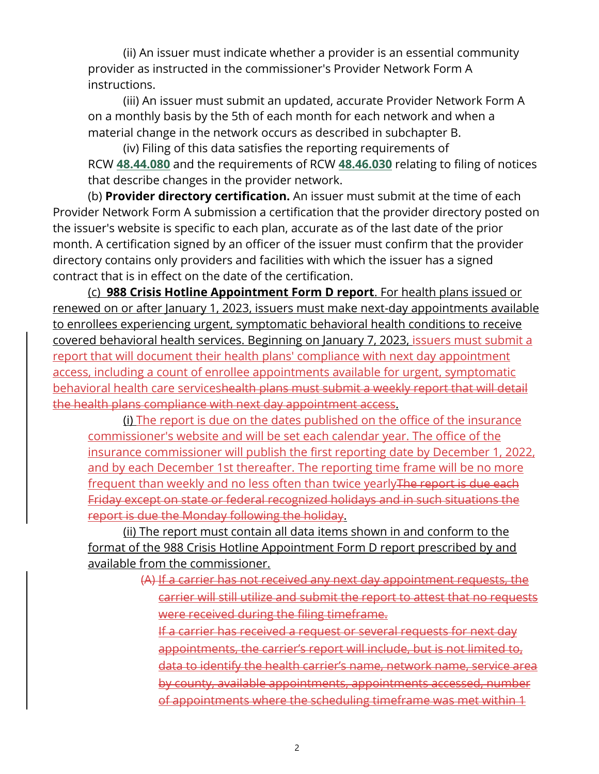(ii) An issuer must indicate whether a provider is an essential community provider as instructed in the commissioner's Provider Network Form A instructions.

(iii) An issuer must submit an updated, accurate Provider Network Form A on a monthly basis by the 5th of each month for each network and when a material change in the network occurs as described in subchapter B.

 RCW **[48.44.080](http://app.leg.wa.gov/RCW/default.aspx?cite=48.44.080)** and the requirements of RCW **[48.46.030](http://app.leg.wa.gov/RCW/default.aspx?cite=48.46.030)** relating to filing of notices (iv) Filing of this data satisfies the reporting requirements of that describe changes in the provider network.

(b) **Provider directory certification.** An issuer must submit at the time of each Provider Network Form A submission a certification that the provider directory posted on the issuer's website is specific to each plan, accurate as of the last date of the prior month. A certification signed by an officer of the issuer must confirm that the provider directory contains only providers and facilities with which the issuer has a signed contract that is in effect on the date of the certification.

(c) **988 Crisis Hotline Appointment Form D report**. For health plans issued or renewed on or after January 1, 2023, issuers must make next-day appointments available to enrollees experiencing urgent, symptomatic behavioral health conditions to receive covered behavioral health services. Beginning on January 7, 2023, issuers must submit a report that will document their health plans' compliance with next day appointment access, including a count of enrollee appointments available for urgent, symptomatic behavioral health care serviceshealth plans must submit a weekly report that will detail the health plans compliance with next day appointment access.

(i) The report is due on the dates published on the office of the insurance commissioner's website and will be set each calendar year. The office of the insurance commissioner will publish the first reporting date by December 1, 2022, and by each December 1st thereafter. The reporting time frame will be no more frequent than weekly and no less often than twice yearly The report is due each Friday except on state or federal recognized holidays and in such situations the report is due the Monday following the holiday.

(ii) The report must contain all data items shown in and conform to the format of the 988 Crisis Hotline Appointment Form D report prescribed by and available from the commissioner.

> (A) If a carrier has not received any next day appointment requests, the carrier will still utilize and submit the report to attest that no requests were received during the filing timeframe.

If a carrier has received a request or several requests for next day appointments, the carrier's report will include, but is not limited to, data to identify the health carrier's name, network name, service area by county, available appointments, appointments accessed, number of appointments where the scheduling timeframe was met within 1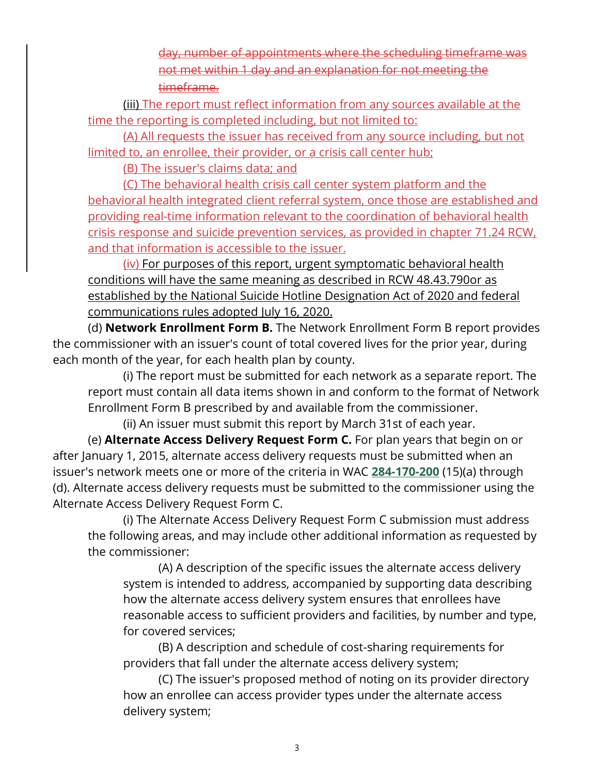day, number of appointments where the scheduling timeframe was not met within 1 day and an explanation for not meeting the timeframe.

(iii) The report must reflect information from any sources available at the time the reporting is completed including, but not limited to:

(A) All requests the issuer has received from any source including, but not limited to, an enrollee, their provider, or a crisis call center hub;

(B) The issuer's claims data; and

(C) The behavioral health crisis call center system platform and the behavioral health integrated client referral system, once those are established and providing real-time information relevant to the coordination of behavioral health crisis response and suicide prevention services, as provided in chapter 71.24 RCW, and that information is accessible to the issuer.

(iv) For purposes of this report, urgent symptomatic behavioral health conditions will have the same meaning as described in RCW 48.43.790or as established by the National Suicide Hotline Designation Act of 2020 and federal communications rules adopted July 16, 2020.

 (d) **Network Enrollment Form B.** The Network Enrollment Form B report provides the commissioner with an issuer's count of total covered lives for the prior year, during each month of the year, for each health plan by county.

(i) The report must be submitted for each network as a separate report. The report must contain all data items shown in and conform to the format of Network Enrollment Form B prescribed by and available from the commissioner.

(ii) An issuer must submit this report by March 31st of each year.

(e) **Alternate Access Delivery Request Form C.** For plan years that begin on or after January 1, 2015, alternate access delivery requests must be submitted when an issuer's network meets one or more of the criteria in WAC **[284-170-200](https://apps.leg.wa.gov/wac/default.aspx?cite=284-170-200)** (15)(a) through (d). Alternate access delivery requests must be submitted to the commissioner using the Alternate Access Delivery Request Form C.

(i) The Alternate Access Delivery Request Form C submission must address the following areas, and may include other additional information as requested by the commissioner:

(A) A description of the specific issues the alternate access delivery system is intended to address, accompanied by supporting data describing how the alternate access delivery system ensures that enrollees have reasonable access to sufficient providers and facilities, by number and type, for covered services;

(B) A description and schedule of cost-sharing requirements for providers that fall under the alternate access delivery system;

(C) The issuer's proposed method of noting on its provider directory how an enrollee can access provider types under the alternate access delivery system;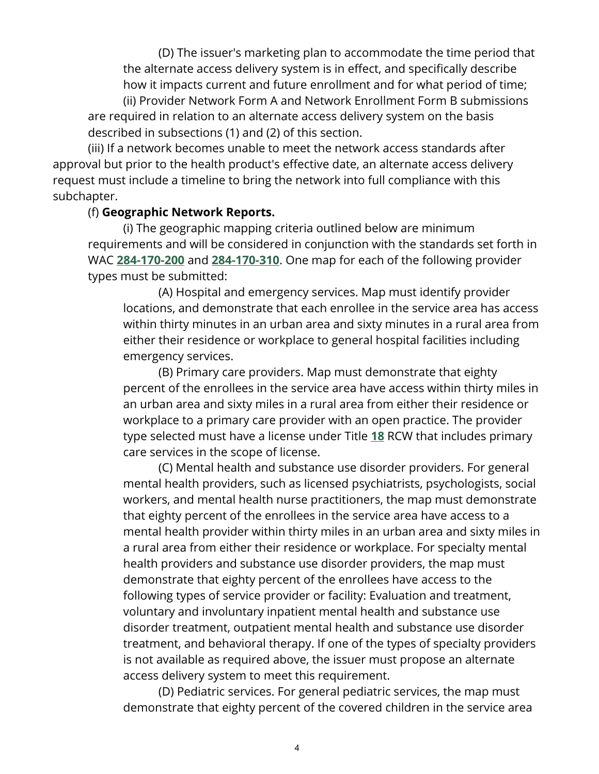(D) The issuer's marketing plan to accommodate the time period that the alternate access delivery system is in effect, and specifically describe how it impacts current and future enrollment and for what period of time; (ii) Provider Network Form A and Network Enrollment Form B submissions are required in relation to an alternate access delivery system on the basis

described in subsections (1) and (2) of this section.

(iii) If a network becomes unable to meet the network access standards after approval but prior to the health product's effective date, an alternate access delivery request must include a timeline to bring the network into full compliance with this subchapter.

## (f) **Geographic Network Reports.**

(i) The geographic mapping criteria outlined below are minimum requirements and will be considered in conjunction with the standards set forth in WAC **[284-170-200](https://apps.leg.wa.gov/wac/default.aspx?cite=284-170-200)** and **[284-170-310](https://apps.leg.wa.gov/wac/default.aspx?cite=284-170-310)**. One map for each of the following provider types must be submitted:

(A) Hospital and emergency services. Map must identify provider locations, and demonstrate that each enrollee in the service area has access within thirty minutes in an urban area and sixty minutes in a rural area from either their residence or workplace to general hospital facilities including emergency services.

(B) Primary care providers. Map must demonstrate that eighty percent of the enrollees in the service area have access within thirty miles in an urban area and sixty miles in a rural area from either their residence or workplace to a primary care provider with an open practice. The provider type selected must have a license under Title **[18](http://app.leg.wa.gov/RCW/default.aspx?cite=18)** RCW that includes primary care services in the scope of license.

(C) Mental health and substance use disorder providers. For general mental health providers, such as licensed psychiatrists, psychologists, social workers, and mental health nurse practitioners, the map must demonstrate that eighty percent of the enrollees in the service area have access to a mental health provider within thirty miles in an urban area and sixty miles in a rural area from either their residence or workplace. For specialty mental health providers and substance use disorder providers, the map must demonstrate that eighty percent of the enrollees have access to the following types of service provider or facility: Evaluation and treatment, voluntary and involuntary inpatient mental health and substance use disorder treatment, outpatient mental health and substance use disorder treatment, and behavioral therapy. If one of the types of specialty providers is not available as required above, the issuer must propose an alternate access delivery system to meet this requirement.

(D) Pediatric services. For general pediatric services, the map must demonstrate that eighty percent of the covered children in the service area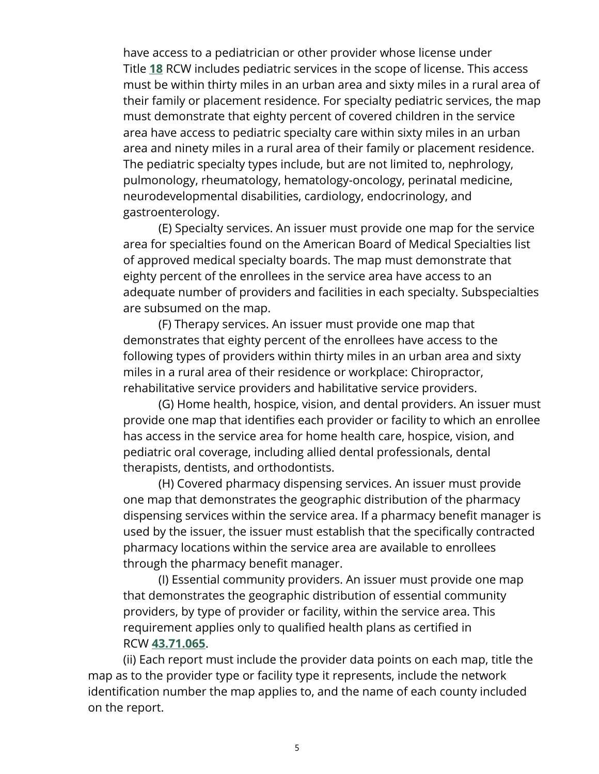have access to a pediatrician or other provider whose license under Title **[18](http://app.leg.wa.gov/RCW/default.aspx?cite=18)** RCW includes pediatric services in the scope of license. This access must be within thirty miles in an urban area and sixty miles in a rural area of their family or placement residence. For specialty pediatric services, the map must demonstrate that eighty percent of covered children in the service area have access to pediatric specialty care within sixty miles in an urban area and ninety miles in a rural area of their family or placement residence. The pediatric specialty types include, but are not limited to, nephrology, pulmonology, rheumatology, hematology-oncology, perinatal medicine, neurodevelopmental disabilities, cardiology, endocrinology, and gastroenterology.

(E) Specialty services. An issuer must provide one map for the service area for specialties found on the American Board of Medical Specialties list of approved medical specialty boards. The map must demonstrate that eighty percent of the enrollees in the service area have access to an adequate number of providers and facilities in each specialty. Subspecialties are subsumed on the map.

(F) Therapy services. An issuer must provide one map that demonstrates that eighty percent of the enrollees have access to the following types of providers within thirty miles in an urban area and sixty miles in a rural area of their residence or workplace: Chiropractor, rehabilitative service providers and habilitative service providers.

(G) Home health, hospice, vision, and dental providers. An issuer must provide one map that identifies each provider or facility to which an enrollee has access in the service area for home health care, hospice, vision, and pediatric oral coverage, including allied dental professionals, dental therapists, dentists, and orthodontists.

(H) Covered pharmacy dispensing services. An issuer must provide one map that demonstrates the geographic distribution of the pharmacy dispensing services within the service area. If a pharmacy benefit manager is used by the issuer, the issuer must establish that the specifically contracted pharmacy locations within the service area are available to enrollees through the pharmacy benefit manager.

(I) Essential community providers. An issuer must provide one map that demonstrates the geographic distribution of essential community providers, by type of provider or facility, within the service area. This requirement applies only to qualified health plans as certified in RCW **[43.71.065](http://app.leg.wa.gov/RCW/default.aspx?cite=43.71.065)**.

(ii) Each report must include the provider data points on each map, title the map as to the provider type or facility type it represents, include the network identification number the map applies to, and the name of each county included on the report.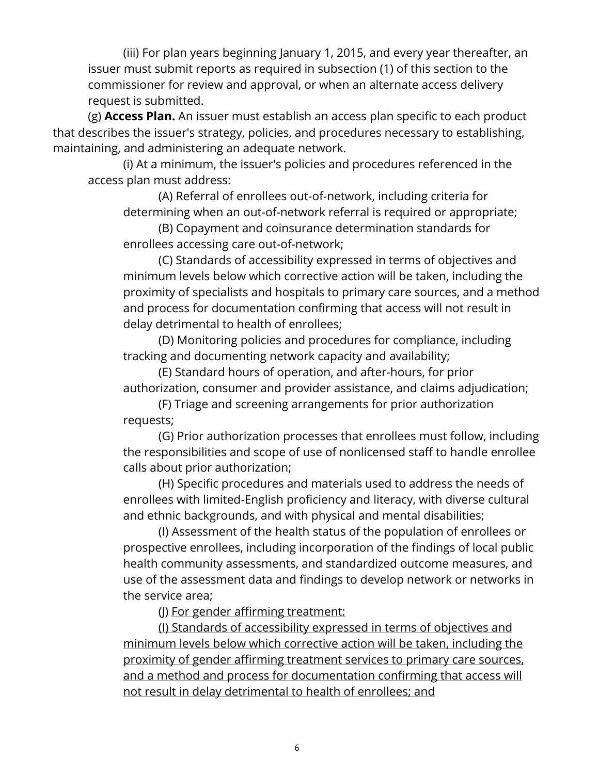(iii) For plan years beginning January 1, 2015, and every year thereafter, an issuer must submit reports as required in subsection (1) of this section to the commissioner for review and approval, or when an alternate access delivery request is submitted.

(g) **Access Plan.** An issuer must establish an access plan specific to each product that describes the issuer's strategy, policies, and procedures necessary to establishing, maintaining, and administering an adequate network.

(i) At a minimum, the issuer's policies and procedures referenced in the access plan must address:

(A) Referral of enrollees out-of-network, including criteria for determining when an out-of-network referral is required or appropriate;

(B) Copayment and coinsurance determination standards for enrollees accessing care out-of-network;

(C) Standards of accessibility expressed in terms of objectives and minimum levels below which corrective action will be taken, including the proximity of specialists and hospitals to primary care sources, and a method and process for documentation confirming that access will not result in delay detrimental to health of enrollees;

(D) Monitoring policies and procedures for compliance, including tracking and documenting network capacity and availability;

(E) Standard hours of operation, and after-hours, for prior authorization, consumer and provider assistance, and claims adjudication;

(F) Triage and screening arrangements for prior authorization requests;

(G) Prior authorization processes that enrollees must follow, including the responsibilities and scope of use of nonlicensed staff to handle enrollee calls about prior authorization;

(H) Specific procedures and materials used to address the needs of enrollees with limited-English proficiency and literacy, with diverse cultural and ethnic backgrounds, and with physical and mental disabilities;

(I) Assessment of the health status of the population of enrollees or prospective enrollees, including incorporation of the findings of local public health community assessments, and standardized outcome measures, and use of the assessment data and findings to develop network or networks in the service area;

(J) For gender affirming treatment:

(I) Standards of accessibility expressed in terms of objectives and minimum levels below which corrective action will be taken, including the proximity of gender affirming treatment services to primary care sources, and a method and process for documentation confirming that access will not result in delay detrimental to health of enrollees; and